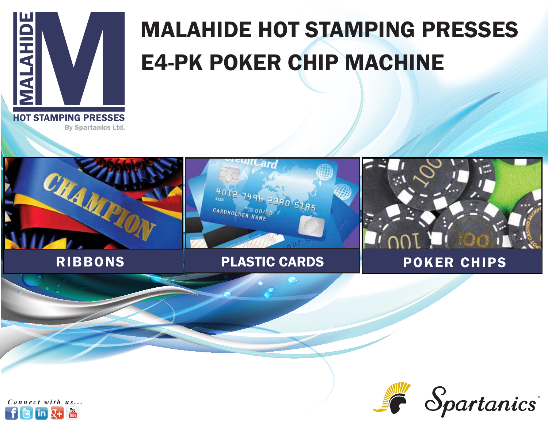

# MALAHIDE HOT STAMPING PRESSES E4-PK POKER CHIP MACHINE

**HOT STAMPING PRESSES** By Spartanics Ltd.